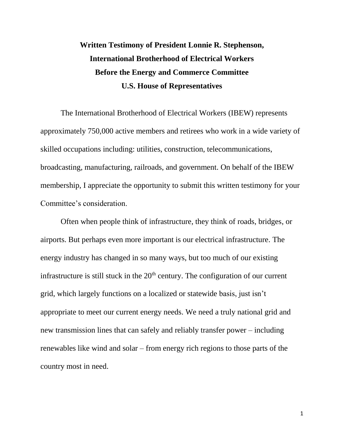## **Written Testimony of President Lonnie R. Stephenson, International Brotherhood of Electrical Workers Before the Energy and Commerce Committee U.S. House of Representatives**

The International Brotherhood of Electrical Workers (IBEW) represents approximately 750,000 active members and retirees who work in a wide variety of skilled occupations including: utilities, construction, telecommunications, broadcasting, manufacturing, railroads, and government. On behalf of the IBEW membership, I appreciate the opportunity to submit this written testimony for your Committee's consideration.

Often when people think of infrastructure, they think of roads, bridges, or airports. But perhaps even more important is our electrical infrastructure. The energy industry has changed in so many ways, but too much of our existing infrastructure is still stuck in the  $20<sup>th</sup>$  century. The configuration of our current grid, which largely functions on a localized or statewide basis, just isn't appropriate to meet our current energy needs. We need a truly national grid and new transmission lines that can safely and reliably transfer power – including renewables like wind and solar – from energy rich regions to those parts of the country most in need.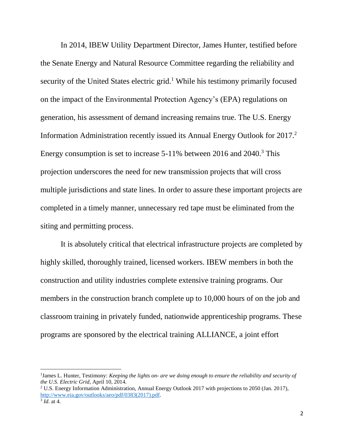In 2014, IBEW Utility Department Director, James Hunter, testified before the Senate Energy and Natural Resource Committee regarding the reliability and security of the United States electric grid.<sup>1</sup> While his testimony primarily focused on the impact of the Environmental Protection Agency's (EPA) regulations on generation, his assessment of demand increasing remains true. The U.S. Energy Information Administration recently issued its Annual Energy Outlook for 2017.<sup>2</sup> Energy consumption is set to increase 5-11% between 2016 and 2040.<sup>3</sup> This projection underscores the need for new transmission projects that will cross multiple jurisdictions and state lines. In order to assure these important projects are completed in a timely manner, unnecessary red tape must be eliminated from the siting and permitting process.

It is absolutely critical that electrical infrastructure projects are completed by highly skilled, thoroughly trained, licensed workers. IBEW members in both the construction and utility industries complete extensive training programs. Our members in the construction branch complete up to 10,000 hours of on the job and classroom training in privately funded, nationwide apprenticeship programs. These programs are sponsored by the electrical training ALLIANCE, a joint effort

 $\overline{a}$ 

<sup>&</sup>lt;sup>1</sup>James L. Hunter, Testimony: *Keeping the lights on- are we doing enough to ensure the reliability and security of the U.S. Electric Grid*, April 10, 2014.

<sup>2</sup> U.S. Energy Information Administration, Annual Energy Outlook 2017 with projections to 2050 (Jan. 2017), [http://www.eia.gov/outlooks/aeo/pdf/0383\(2017\).pdf.](http://www.eia.gov/outlooks/aeo/pdf/0383(2017).pdf)

<sup>3</sup> *Id*. at 4.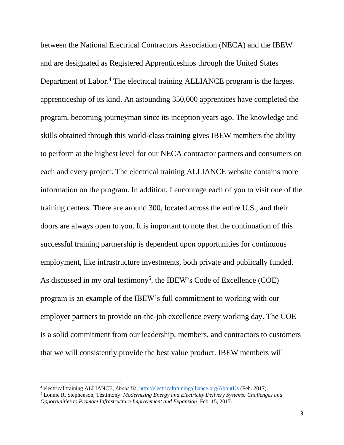between the National Electrical Contractors Association (NECA) and the IBEW and are designated as Registered Apprenticeships through the United States Department of Labor.<sup>4</sup> The electrical training ALLIANCE program is the largest apprenticeship of its kind. An astounding 350,000 apprentices have completed the program, becoming journeyman since its inception years ago. The knowledge and skills obtained through this world-class training gives IBEW members the ability to perform at the highest level for our NECA contractor partners and consumers on each and every project. The electrical training ALLIANCE website contains more information on the program. In addition, I encourage each of you to visit one of the training centers. There are around 300, located across the entire U.S., and their doors are always open to you. It is important to note that the continuation of this successful training partnership is dependent upon opportunities for continuous employment, like infrastructure investments, both private and publically funded. As discussed in my oral testimony<sup>5</sup>, the IBEW's Code of Excellence (COE) program is an example of the IBEW's full commitment to working with our employer partners to provide on-the-job excellence every working day. The COE is a solid commitment from our leadership, members, and contractors to customers that we will consistently provide the best value product. IBEW members will

 $\overline{\phantom{a}}$ 

<sup>4</sup> electrical training ALLIANCE, *About Us*,<http://electricaltrainingalliance.org/AboutUs> (Feb. 2017).

<sup>5</sup> Lonnie R. Stephenson, Testimony: *Modernizing Energy and Electricity Delivery Systems: Challenges and Opportunities to Promote Infrastructure Improvement and Expansion*, Feb. 15, 2017.